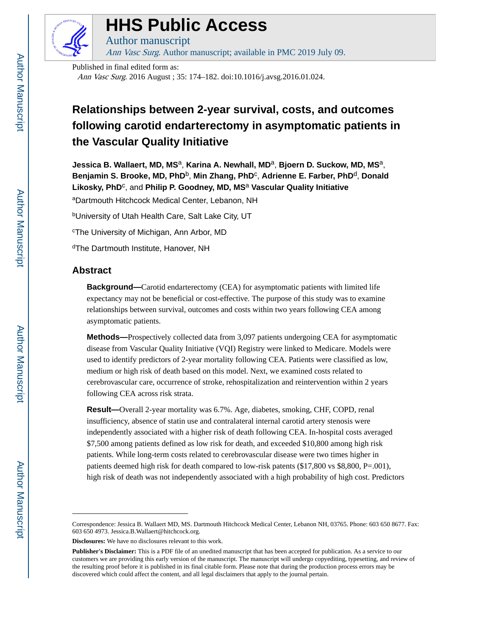

# **HHS Public Access**

Author manuscript Ann Vasc Surg. Author manuscript; available in PMC 2019 July 09.

Published in final edited form as: Ann Vasc Surg. 2016 August ; 35: 174–182. doi:10.1016/j.avsg.2016.01.024.

## **Relationships between 2-year survival, costs, and outcomes following carotid endarterectomy in asymptomatic patients in the Vascular Quality Initiative**

**Jessica B. Wallaert, MD, MS**a, **Karina A. Newhall, MD**a, **Bjoern D. Suckow, MD, MS**a, **Benjamin S. Brooke, MD, PhD**b, **Min Zhang, PhD**<sup>c</sup> , **Adrienne E. Farber, PhD**d, **Donald Likosky, PhD**<sup>c</sup> , and **Philip P. Goodney, MD, MS**<sup>a</sup> **Vascular Quality Initiative** <sup>a</sup>Dartmouth Hitchcock Medical Center, Lebanon, NH

<sup>b</sup>University of Utah Health Care, Salt Lake City, UT

<sup>c</sup>The University of Michigan, Ann Arbor, MD

<sup>d</sup>The Dartmouth Institute, Hanover, NH

## **Abstract**

**Background—**Carotid endarterectomy (CEA) for asymptomatic patients with limited life expectancy may not be beneficial or cost-effective. The purpose of this study was to examine relationships between survival, outcomes and costs within two years following CEA among asymptomatic patients.

**Methods—**Prospectively collected data from 3,097 patients undergoing CEA for asymptomatic disease from Vascular Quality Initiative (VQI) Registry were linked to Medicare. Models were used to identify predictors of 2-year mortality following CEA. Patients were classified as low, medium or high risk of death based on this model. Next, we examined costs related to cerebrovascular care, occurrence of stroke, rehospitalization and reintervention within 2 years following CEA across risk strata.

**Result—**Overall 2-year mortality was 6.7%. Age, diabetes, smoking, CHF, COPD, renal insufficiency, absence of statin use and contralateral internal carotid artery stenosis were independently associated with a higher risk of death following CEA. In-hospital costs averaged \$7,500 among patients defined as low risk for death, and exceeded \$10,800 among high risk patients. While long-term costs related to cerebrovascular disease were two times higher in patients deemed high risk for death compared to low-risk patents (\$17,800 vs \$8,800, P=.001), high risk of death was not independently associated with a high probability of high cost. Predictors

Correspondence: Jessica B. Wallaert MD, MS. Dartmouth Hitchcock Medical Center, Lebanon NH, 03765. Phone: 603 650 8677. Fax: 603 650 4973. Jessica.B.Wallaert@hitchcock.org.

**Disclosures:** We have no disclosures relevant to this work.

**Publisher's Disclaimer:** This is a PDF file of an unedited manuscript that has been accepted for publication. As a service to our customers we are providing this early version of the manuscript. The manuscript will undergo copyediting, typesetting, and review of the resulting proof before it is published in its final citable form. Please note that during the production process errors may be discovered which could affect the content, and all legal disclaimers that apply to the journal pertain.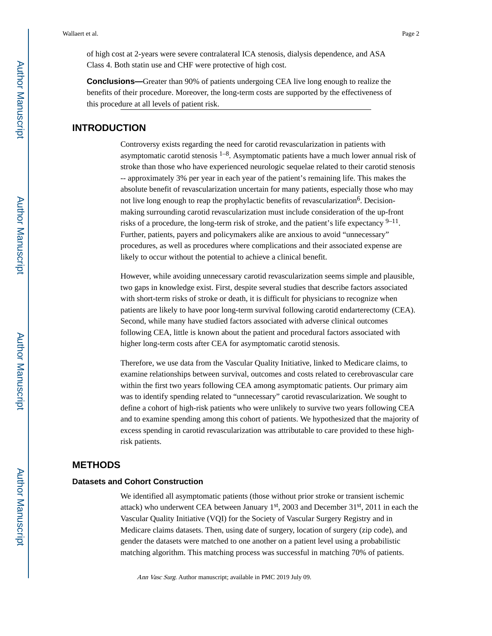of high cost at 2-years were severe contralateral ICA stenosis, dialysis dependence, and ASA Class 4. Both statin use and CHF were protective of high cost.

**Conclusions—**Greater than 90% of patients undergoing CEA live long enough to realize the benefits of their procedure. Moreover, the long-term costs are supported by the effectiveness of this procedure at all levels of patient risk.

## **INTRODUCTION**

Controversy exists regarding the need for carotid revascularization in patients with asymptomatic carotid stenosis  $1-8$ . Asymptomatic patients have a much lower annual risk of stroke than those who have experienced neurologic sequelae related to their carotid stenosis -- approximately 3% per year in each year of the patient's remaining life. This makes the absolute benefit of revascularization uncertain for many patients, especially those who may not live long enough to reap the prophylactic benefits of revascularization<sup>6</sup>. Decisionmaking surrounding carotid revascularization must include consideration of the up-front risks of a procedure, the long-term risk of stroke, and the patient's life expectancy  $9-11$ . Further, patients, payers and policymakers alike are anxious to avoid "unnecessary" procedures, as well as procedures where complications and their associated expense are likely to occur without the potential to achieve a clinical benefit.

However, while avoiding unnecessary carotid revascularization seems simple and plausible, two gaps in knowledge exist. First, despite several studies that describe factors associated with short-term risks of stroke or death, it is difficult for physicians to recognize when patients are likely to have poor long-term survival following carotid endarterectomy (CEA). Second, while many have studied factors associated with adverse clinical outcomes following CEA, little is known about the patient and procedural factors associated with higher long-term costs after CEA for asymptomatic carotid stenosis.

Therefore, we use data from the Vascular Quality Initiative, linked to Medicare claims, to examine relationships between survival, outcomes and costs related to cerebrovascular care within the first two years following CEA among asymptomatic patients. Our primary aim was to identify spending related to "unnecessary" carotid revascularization. We sought to define a cohort of high-risk patients who were unlikely to survive two years following CEA and to examine spending among this cohort of patients. We hypothesized that the majority of excess spending in carotid revascularization was attributable to care provided to these highrisk patients.

### **METHODS**

#### **Datasets and Cohort Construction**

We identified all asymptomatic patients (those without prior stroke or transient ischemic attack) who underwent CEA between January  $1<sup>st</sup>$ , 2003 and December 31 $<sup>st</sup>$ , 2011 in each the</sup> Vascular Quality Initiative (VQI) for the Society of Vascular Surgery Registry and in Medicare claims datasets. Then, using date of surgery, location of surgery (zip code), and gender the datasets were matched to one another on a patient level using a probabilistic matching algorithm. This matching process was successful in matching 70% of patients.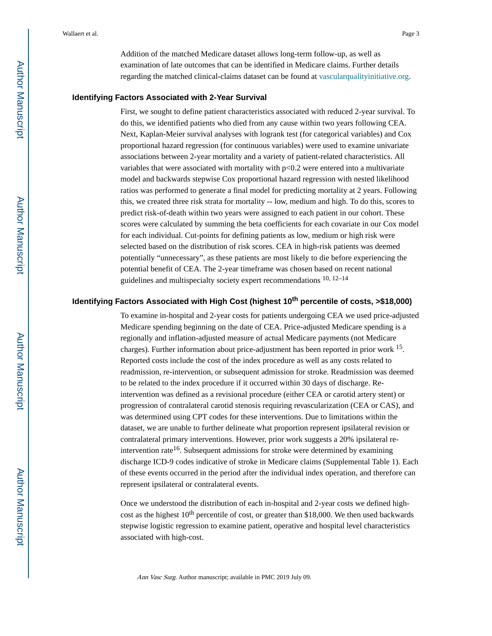Addition of the matched Medicare dataset allows long-term follow-up, as well as examination of late outcomes that can be identified in Medicare claims. Further details regarding the matched clinical-claims dataset can be found at [vascularqualityinitiative.org.](http://vascularqualityinitiative.org)

#### **Identifying Factors Associated with 2-Year Survival**

First, we sought to define patient characteristics associated with reduced 2-year survival. To do this, we identified patients who died from any cause within two years following CEA. Next, Kaplan-Meier survival analyses with logrank test (for categorical variables) and Cox proportional hazard regression (for continuous variables) were used to examine univariate associations between 2-year mortality and a variety of patient-related characteristics. All variables that were associated with mortality with p<0.2 were entered into a multivariate model and backwards stepwise Cox proportional hazard regression with nested likelihood ratios was performed to generate a final model for predicting mortality at 2 years. Following this, we created three risk strata for mortality -- low, medium and high. To do this, scores to predict risk-of-death within two years were assigned to each patient in our cohort. These scores were calculated by summing the beta coefficients for each covariate in our Cox model for each individual. Cut-points for defining patients as low, medium or high risk were selected based on the distribution of risk scores. CEA in high-risk patients was deemed potentially "unnecessary", as these patients are most likely to die before experiencing the potential benefit of CEA. The 2-year timeframe was chosen based on recent national guidelines and multispecialty society expert recommendations 10, 12–14

### **Identifying Factors Associated with High Cost (highest 10th percentile of costs, >\$18,000)**

To examine in-hospital and 2-year costs for patients undergoing CEA we used price-adjusted Medicare spending beginning on the date of CEA. Price-adjusted Medicare spending is a regionally and inflation-adjusted measure of actual Medicare payments (not Medicare charges). Further information about price-adjustment has been reported in prior work <sup>15</sup>. Reported costs include the cost of the index procedure as well as any costs related to readmission, re-intervention, or subsequent admission for stroke. Readmission was deemed to be related to the index procedure if it occurred within 30 days of discharge. Reintervention was defined as a revisional procedure (either CEA or carotid artery stent) or progression of contralateral carotid stenosis requiring revascularization (CEA or CAS), and was determined using CPT codes for these interventions. Due to limitations within the dataset, we are unable to further delineate what proportion represent ipsilateral revision or contralateral primary interventions. However, prior work suggests a 20% ipsilateral reintervention rate<sup>16</sup>. Subsequent admissions for stroke were determined by examining discharge ICD-9 codes indicative of stroke in Medicare claims (Supplemental Table 1). Each of these events occurred in the period after the individual index operation, and therefore can represent ipsilateral or contralateral events.

Once we understood the distribution of each in-hospital and 2-year costs we defined highcost as the highest 10th percentile of cost, or greater than \$18,000. We then used backwards stepwise logistic regression to examine patient, operative and hospital level characteristics associated with high-cost.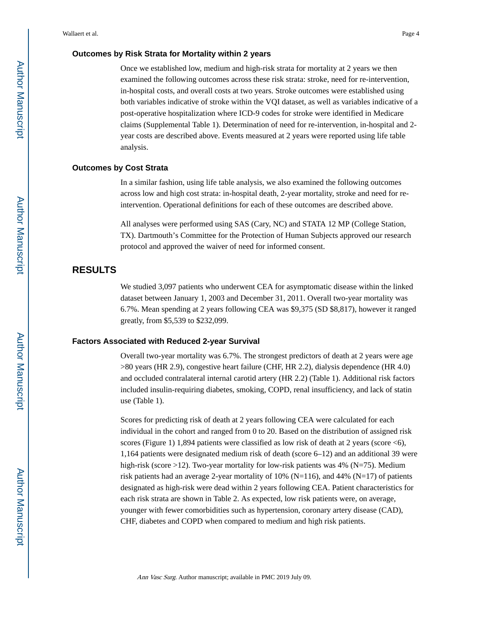#### **Outcomes by Risk Strata for Mortality within 2 years**

Once we established low, medium and high-risk strata for mortality at 2 years we then examined the following outcomes across these risk strata: stroke, need for re-intervention, in-hospital costs, and overall costs at two years. Stroke outcomes were established using both variables indicative of stroke within the VQI dataset, as well as variables indicative of a post-operative hospitalization where ICD-9 codes for stroke were identified in Medicare claims (Supplemental Table 1). Determination of need for re-intervention, in-hospital and 2 year costs are described above. Events measured at 2 years were reported using life table analysis.

#### **Outcomes by Cost Strata**

In a similar fashion, using life table analysis, we also examined the following outcomes across low and high cost strata: in-hospital death, 2-year mortality, stroke and need for reintervention. Operational definitions for each of these outcomes are described above.

All analyses were performed using SAS (Cary, NC) and STATA 12 MP (College Station, TX). Dartmouth's Committee for the Protection of Human Subjects approved our research protocol and approved the waiver of need for informed consent.

## **RESULTS**

We studied 3,097 patients who underwent CEA for asymptomatic disease within the linked dataset between January 1, 2003 and December 31, 2011. Overall two-year mortality was 6.7%. Mean spending at 2 years following CEA was \$9,375 (SD \$8,817), however it ranged greatly, from \$5,539 to \$232,099.

#### **Factors Associated with Reduced 2-year Survival**

Overall two-year mortality was 6.7%. The strongest predictors of death at 2 years were age >80 years (HR 2.9), congestive heart failure (CHF, HR 2.2), dialysis dependence (HR 4.0) and occluded contralateral internal carotid artery (HR 2.2) (Table 1). Additional risk factors included insulin-requiring diabetes, smoking, COPD, renal insufficiency, and lack of statin use (Table 1).

Scores for predicting risk of death at 2 years following CEA were calculated for each individual in the cohort and ranged from 0 to 20. Based on the distribution of assigned risk scores (Figure 1) 1,894 patients were classified as low risk of death at 2 years (score  $\leq 6$ ), 1,164 patients were designated medium risk of death (score 6–12) and an additional 39 were high-risk (score >12). Two-year mortality for low-risk patients was 4% (N=75). Medium risk patients had an average 2-year mortality of 10% ( $N=116$ ), and 44% ( $N=17$ ) of patients designated as high-risk were dead within 2 years following CEA. Patient characteristics for each risk strata are shown in Table 2. As expected, low risk patients were, on average, younger with fewer comorbidities such as hypertension, coronary artery disease (CAD), CHF, diabetes and COPD when compared to medium and high risk patients.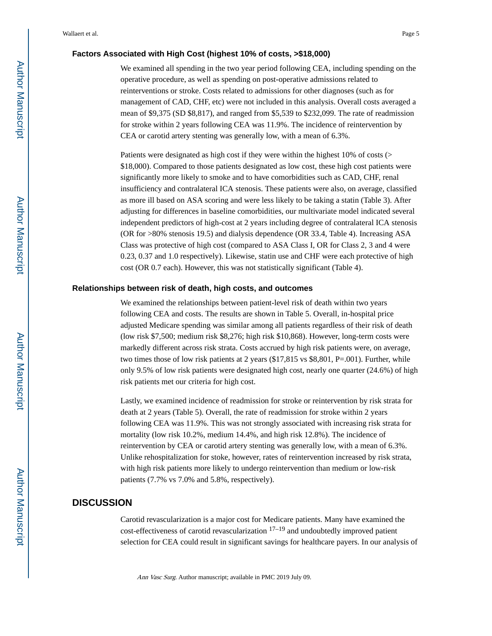#### **Factors Associated with High Cost (highest 10% of costs, >\$18,000)**

We examined all spending in the two year period following CEA, including spending on the operative procedure, as well as spending on post-operative admissions related to reinterventions or stroke. Costs related to admissions for other diagnoses (such as for management of CAD, CHF, etc) were not included in this analysis. Overall costs averaged a mean of \$9,375 (SD \$8,817), and ranged from \$5,539 to \$232,099. The rate of readmission for stroke within 2 years following CEA was 11.9%. The incidence of reintervention by CEA or carotid artery stenting was generally low, with a mean of 6.3%.

Patients were designated as high cost if they were within the highest 10% of costs (> \$18,000). Compared to those patients designated as low cost, these high cost patients were significantly more likely to smoke and to have comorbidities such as CAD, CHF, renal insufficiency and contralateral ICA stenosis. These patients were also, on average, classified as more ill based on ASA scoring and were less likely to be taking a statin (Table 3). After adjusting for differences in baseline comorbidities, our multivariate model indicated several independent predictors of high-cost at 2 years including degree of contralateral ICA stenosis (OR for >80% stenosis 19.5) and dialysis dependence (OR 33.4, Table 4). Increasing ASA Class was protective of high cost (compared to ASA Class I, OR for Class 2, 3 and 4 were 0.23, 0.37 and 1.0 respectively). Likewise, statin use and CHF were each protective of high cost (OR 0.7 each). However, this was not statistically significant (Table 4).

#### **Relationships between risk of death, high costs, and outcomes**

We examined the relationships between patient-level risk of death within two years following CEA and costs. The results are shown in Table 5. Overall, in-hospital price adjusted Medicare spending was similar among all patients regardless of their risk of death (low risk \$7,500; medium risk \$8,276; high risk \$10,868). However, long-term costs were markedly different across risk strata. Costs accrued by high risk patients were, on average, two times those of low risk patients at 2 years (\$17,815 vs \$8,801, P=.001). Further, while only 9.5% of low risk patients were designated high cost, nearly one quarter (24.6%) of high risk patients met our criteria for high cost.

Lastly, we examined incidence of readmission for stroke or reintervention by risk strata for death at 2 years (Table 5). Overall, the rate of readmission for stroke within 2 years following CEA was 11.9%. This was not strongly associated with increasing risk strata for mortality (low risk 10.2%, medium 14.4%, and high risk 12.8%). The incidence of reintervention by CEA or carotid artery stenting was generally low, with a mean of 6.3%. Unlike rehospitalization for stoke, however, rates of reintervention increased by risk strata, with high risk patients more likely to undergo reintervention than medium or low-risk patients (7.7% vs 7.0% and 5.8%, respectively).

## **DISCUSSION**

Carotid revascularization is a major cost for Medicare patients. Many have examined the cost-effectiveness of carotid revascularization  $17-19$  and undoubtedly improved patient selection for CEA could result in significant savings for healthcare payers. In our analysis of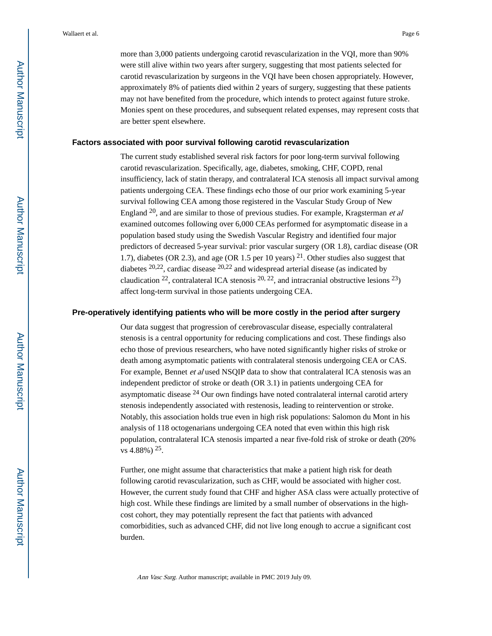more than 3,000 patients undergoing carotid revascularization in the VQI, more than 90% were still alive within two years after surgery, suggesting that most patients selected for carotid revascularization by surgeons in the VQI have been chosen appropriately. However, approximately 8% of patients died within 2 years of surgery, suggesting that these patients may not have benefited from the procedure, which intends to protect against future stroke. Monies spent on these procedures, and subsequent related expenses, may represent costs that are better spent elsewhere.

#### **Factors associated with poor survival following carotid revascularization**

The current study established several risk factors for poor long-term survival following carotid revascularization. Specifically, age, diabetes, smoking, CHF, COPD, renal insufficiency, lack of statin therapy, and contralateral ICA stenosis all impact survival among patients undergoing CEA. These findings echo those of our prior work examining 5-year survival following CEA among those registered in the Vascular Study Group of New England  $20$ , and are similar to those of previous studies. For example, Kragsterman *et al* examined outcomes following over 6,000 CEAs performed for asymptomatic disease in a population based study using the Swedish Vascular Registry and identified four major predictors of decreased 5-year survival: prior vascular surgery (OR 1.8), cardiac disease (OR 1.7), diabetes (OR 2.3), and age (OR 1.5 per 10 years) <sup>21</sup>. Other studies also suggest that diabetes  $20,22$ , cardiac disease  $20,22$  and widespread arterial disease (as indicated by claudication <sup>22</sup>, contralateral ICA stenosis <sup>20, 22</sup>, and intracranial obstructive lesions <sup>23</sup>) affect long-term survival in those patients undergoing CEA.

#### **Pre-operatively identifying patients who will be more costly in the period after surgery**

Our data suggest that progression of cerebrovascular disease, especially contralateral stenosis is a central opportunity for reducing complications and cost. These findings also echo those of previous researchers, who have noted significantly higher risks of stroke or death among asymptomatic patients with contralateral stenosis undergoing CEA or CAS. For example, Bennet *et al* used NSQIP data to show that contralateral ICA stenosis was an independent predictor of stroke or death (OR 3.1) in patients undergoing CEA for asymptomatic disease 24 Our own findings have noted contralateral internal carotid artery stenosis independently associated with restenosis, leading to reintervention or stroke. Notably, this association holds true even in high risk populations: Salomon du Mont in his analysis of 118 octogenarians undergoing CEA noted that even within this high risk population, contralateral ICA stenosis imparted a near five-fold risk of stroke or death (20% vs 4.88%) <sup>25</sup>.

Further, one might assume that characteristics that make a patient high risk for death following carotid revascularization, such as CHF, would be associated with higher cost. However, the current study found that CHF and higher ASA class were actually protective of high cost. While these findings are limited by a small number of observations in the highcost cohort, they may potentially represent the fact that patients with advanced comorbidities, such as advanced CHF, did not live long enough to accrue a significant cost burden.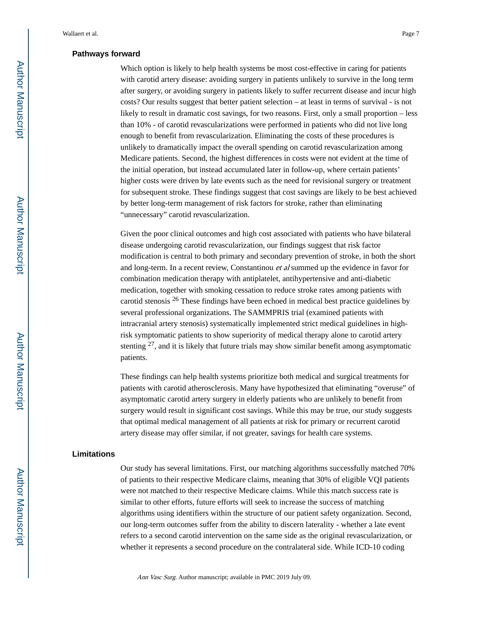#### **Pathways forward**

Which option is likely to help health systems be most cost-effective in caring for patients with carotid artery disease: avoiding surgery in patients unlikely to survive in the long term after surgery, or avoiding surgery in patients likely to suffer recurrent disease and incur high costs? Our results suggest that better patient selection – at least in terms of survival - is not likely to result in dramatic cost savings, for two reasons. First, only a small proportion – less than 10% - of carotid revascularizations were performed in patients who did not live long enough to benefit from revascularization. Eliminating the costs of these procedures is unlikely to dramatically impact the overall spending on carotid revascularization among Medicare patients. Second, the highest differences in costs were not evident at the time of the initial operation, but instead accumulated later in follow-up, where certain patients' higher costs were driven by late events such as the need for revisional surgery or treatment for subsequent stroke. These findings suggest that cost savings are likely to be best achieved by better long-term management of risk factors for stroke, rather than eliminating "unnecessary" carotid revascularization.

Given the poor clinical outcomes and high cost associated with patients who have bilateral disease undergoing carotid revascularization, our findings suggest that risk factor modification is central to both primary and secondary prevention of stroke, in both the short and long-term. In a recent review, Constantinou *et al* summed up the evidence in favor for combination medication therapy with antiplatelet, antihypertensive and anti-diabetic medication, together with smoking cessation to reduce stroke rates among patients with carotid stenosis 26 These findings have been echoed in medical best practice guidelines by several professional organizations. The SAMMPRIS trial (examined patients with intracranial artery stenosis) systematically implemented strict medical guidelines in highrisk symptomatic patients to show superiority of medical therapy alone to carotid artery stenting  $27$ , and it is likely that future trials may show similar benefit among asymptomatic patients.

These findings can help health systems prioritize both medical and surgical treatments for patients with carotid atherosclerosis. Many have hypothesized that eliminating "overuse" of asymptomatic carotid artery surgery in elderly patients who are unlikely to benefit from surgery would result in significant cost savings. While this may be true, our study suggests that optimal medical management of all patients at risk for primary or recurrent carotid artery disease may offer similar, if not greater, savings for health care systems.

#### **Limitations**

Our study has several limitations. First, our matching algorithms successfully matched 70% of patients to their respective Medicare claims, meaning that 30% of eligible VQI patients were not matched to their respective Medicare claims. While this match success rate is similar to other efforts, future efforts will seek to increase the success of matching algorithms using identifiers within the structure of our patient safety organization. Second, our long-term outcomes suffer from the ability to discern laterality - whether a late event refers to a second carotid intervention on the same side as the original revascularization, or whether it represents a second procedure on the contralateral side. While ICD-10 coding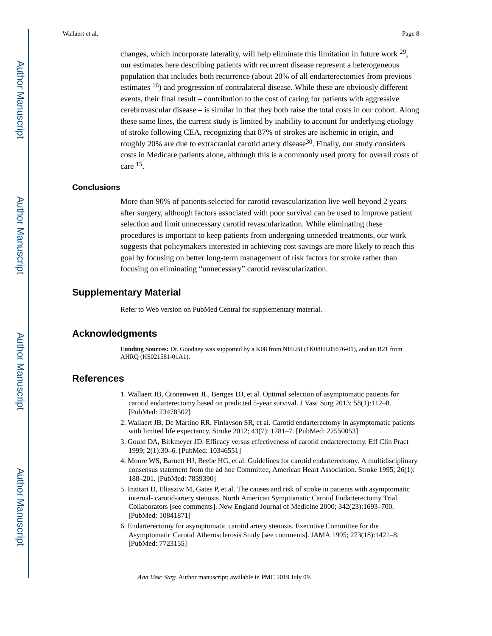changes, which incorporate laterality, will help eliminate this limitation in future work  $29$ , our estimates here describing patients with recurrent disease represent a heterogeneous population that includes both recurrence (about 20% of all endarterectomies from previous estimates 16) and progression of contralateral disease. While these are obviously different events, their final result – contribution to the cost of caring for patients with aggressive cerebrovascular disease – is similar in that they both raise the total costs in our cohort. Along these same lines, the current study is limited by inability to account for underlying etiology of stroke following CEA, recognizing that 87% of strokes are ischemic in origin, and roughly 20% are due to extracranial carotid artery disease<sup>30</sup>. Finally, our study considers costs in Medicare patients alone, although this is a commonly used proxy for overall costs of care <sup>15</sup> .

#### **Conclusions**

More than 90% of patients selected for carotid revascularization live well beyond 2 years after surgery, although factors associated with poor survival can be used to improve patient selection and limit unnecessary carotid revascularization. While eliminating these procedures is important to keep patients from undergoing unneeded treatments, our work suggests that policymakers interested in achieving cost savings are more likely to reach this goal by focusing on better long-term management of risk factors for stroke rather than focusing on eliminating "unnecessary" carotid revascularization.

## **Supplementary Material**

Refer to Web version on PubMed Central for supplementary material.

#### **Acknowledgments**

**Funding Sources:** Dr. Goodney was supported by a K08 from NHLBI (1K08HL05676-01), and an R21 from AHRQ (HS021581-01A1).

#### **References**

- 1. Wallaert JB, Cronenwett JL, Bertges DJ, et al. Optimal selection of asymptomatic patients for carotid endarterectomy based on predicted 5-year survival. J Vasc Surg 2013; 58(1):112–8. [PubMed: 23478502]
- 2. Wallaert JB, De Martino RR, Finlayson SR, et al. Carotid endarterectomy in asymptomatic patients with limited life expectancy. Stroke 2012; 43(7): 1781–7. [PubMed: 22550053]
- 3. Gould DA, Birkmeyer JD. Efficacy versus effectiveness of carotid endarterectomy. Eff Clin Pract 1999; 2(1):30–6. [PubMed: 10346551]
- 4. Moore WS, Barnett HJ, Beebe HG, et al. Guidelines for carotid endarterectomy. A multidisciplinary consensus statement from the ad hoc Committee, American Heart Association. Stroke 1995; 26(1): 188–201. [PubMed: 7839390]
- 5. Inzitari D, Eliasziw M, Gates P, et al. The causes and risk of stroke in patients with asymptomatic internal- carotid-artery stenosis. North American Symptomatic Carotid Endarterectomy Trial Collaborators [see comments]. New England Journal of Medicine 2000; 342(23):1693–700. [PubMed: 10841871]
- 6. Endarterectomy for asymptomatic carotid artery stenosis. Executive Committee for the Asymptomatic Carotid Atherosclerosis Study [see comments]. JAMA 1995; 273(18):1421–8. [PubMed: 7723155]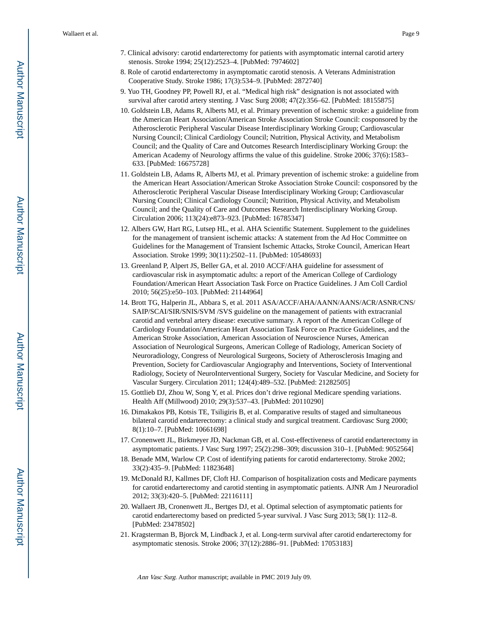- 8. Role of carotid endarterectomy in asymptomatic carotid stenosis. A Veterans Administration Cooperative Study. Stroke 1986; 17(3):534–9. [PubMed: 2872740]
- 9. Yuo TH, Goodney PP, Powell RJ, et al. "Medical high risk" designation is not associated with survival after carotid artery stenting. J Vasc Surg 2008; 47(2):356–62. [PubMed: 18155875]
- 10. Goldstein LB, Adams R, Alberts MJ, et al. Primary prevention of ischemic stroke: a guideline from the American Heart Association/American Stroke Association Stroke Council: cosponsored by the Atherosclerotic Peripheral Vascular Disease Interdisciplinary Working Group; Cardiovascular Nursing Council; Clinical Cardiology Council; Nutrition, Physical Activity, and Metabolism Council; and the Quality of Care and Outcomes Research Interdisciplinary Working Group: the American Academy of Neurology affirms the value of this guideline. Stroke 2006; 37(6):1583– 633. [PubMed: 16675728]
- 11. Goldstein LB, Adams R, Alberts MJ, et al. Primary prevention of ischemic stroke: a guideline from the American Heart Association/American Stroke Association Stroke Council: cosponsored by the Atherosclerotic Peripheral Vascular Disease Interdisciplinary Working Group; Cardiovascular Nursing Council; Clinical Cardiology Council; Nutrition, Physical Activity, and Metabolism Council; and the Quality of Care and Outcomes Research Interdisciplinary Working Group. Circulation 2006; 113(24):e873–923. [PubMed: 16785347]
- 12. Albers GW, Hart RG, Lutsep HL, et al. AHA Scientific Statement. Supplement to the guidelines for the management of transient ischemic attacks: A statement from the Ad Hoc Committee on Guidelines for the Management of Transient Ischemic Attacks, Stroke Council, American Heart Association. Stroke 1999; 30(11):2502–11. [PubMed: 10548693]
- 13. Greenland P, Alpert JS, Beller GA, et al. 2010 ACCF/AHA guideline for assessment of cardiovascular risk in asymptomatic adults: a report of the American College of Cardiology Foundation/American Heart Association Task Force on Practice Guidelines. J Am Coll Cardiol 2010; 56(25):e50–103. [PubMed: 21144964]
- 14. Brott TG, Halperin JL, Abbara S, et al. 2011 ASA/ACCF/AHA/AANN/AANS/ACR/ASNR/CNS/ SAIP/SCAI/SIR/SNIS/SVM /SVS guideline on the management of patients with extracranial carotid and vertebral artery disease: executive summary. A report of the American College of Cardiology Foundation/American Heart Association Task Force on Practice Guidelines, and the American Stroke Association, American Association of Neuroscience Nurses, American Association of Neurological Surgeons, American College of Radiology, American Society of Neuroradiology, Congress of Neurological Surgeons, Society of Atherosclerosis Imaging and Prevention, Society for Cardiovascular Angiography and Interventions, Society of Interventional Radiology, Society of NeuroInterventional Surgery, Society for Vascular Medicine, and Society for Vascular Surgery. Circulation 2011; 124(4):489–532. [PubMed: 21282505]
- 15. Gottlieb DJ, Zhou W, Song Y, et al. Prices don't drive regional Medicare spending variations. Health Aff (Millwood) 2010; 29(3):537–43. [PubMed: 20110290]
- 16. Dimakakos PB, Kotsis TE, Tsiligiris B, et al. Comparative results of staged and simultaneous bilateral carotid endarterectomy: a clinical study and surgical treatment. Cardiovasc Surg 2000; 8(1):10–7. [PubMed: 10661698]
- 17. Cronenwett JL, Birkmeyer JD, Nackman GB, et al. Cost-effectiveness of carotid endarterectomy in asymptomatic patients. J Vasc Surg 1997; 25(2):298–309; discussion 310–1. [PubMed: 9052564]
- 18. Benade MM, Warlow CP. Cost of identifying patients for carotid endarterectomy. Stroke 2002; 33(2):435–9. [PubMed: 11823648]
- 19. McDonald RJ, Kallmes DF, Cloft HJ. Comparison of hospitalization costs and Medicare payments for carotid endarterectomy and carotid stenting in asymptomatic patients. AJNR Am J Neuroradiol 2012; 33(3):420–5. [PubMed: 22116111]
- 20. Wallaert JB, Cronenwett JL, Bertges DJ, et al. Optimal selection of asymptomatic patients for carotid endarterectomy based on predicted 5-year survival. J Vasc Surg 2013; 58(1): 112–8. [PubMed: 23478502]
- 21. Kragsterman B, Bjorck M, Lindback J, et al. Long-term survival after carotid endarterectomy for asymptomatic stenosis. Stroke 2006; 37(12):2886–91. [PubMed: 17053183]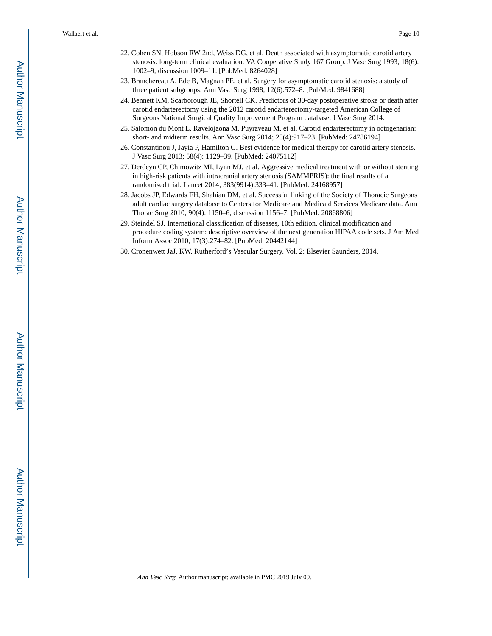Wallaert et al. Page 10

- 22. Cohen SN, Hobson RW 2nd, Weiss DG, et al. Death associated with asymptomatic carotid artery stenosis: long-term clinical evaluation. VA Cooperative Study 167 Group. J Vasc Surg 1993; 18(6): 1002–9; discussion 1009–11. [PubMed: 8264028]
- 23. Branchereau A, Ede B, Magnan PE, et al. Surgery for asymptomatic carotid stenosis: a study of three patient subgroups. Ann Vasc Surg 1998; 12(6):572–8. [PubMed: 9841688]
- 24. Bennett KM, Scarborough JE, Shortell CK. Predictors of 30-day postoperative stroke or death after carotid endarterectomy using the 2012 carotid endarterectomy-targeted American College of Surgeons National Surgical Quality Improvement Program database. J Vasc Surg 2014.
- 25. Salomon du Mont L, Ravelojaona M, Puyraveau M, et al. Carotid endarterectomy in octogenarian: short- and midterm results. Ann Vasc Surg 2014; 28(4):917–23. [PubMed: 24786194]
- 26. Constantinou J, Jayia P, Hamilton G. Best evidence for medical therapy for carotid artery stenosis. J Vasc Surg 2013; 58(4): 1129–39. [PubMed: 24075112]
- 27. Derdeyn CP, Chimowitz MI, Lynn MJ, et al. Aggressive medical treatment with or without stenting in high-risk patients with intracranial artery stenosis (SAMMPRIS): the final results of a randomised trial. Lancet 2014; 383(9914):333–41. [PubMed: 24168957]
- 28. Jacobs JP, Edwards FH, Shahian DM, et al. Successful linking of the Society of Thoracic Surgeons adult cardiac surgery database to Centers for Medicare and Medicaid Services Medicare data. Ann Thorac Surg 2010; 90(4): 1150–6; discussion 1156–7. [PubMed: 20868806]
- 29. Steindel SJ. International classification of diseases, 10th edition, clinical modification and procedure coding system: descriptive overview of the next generation HIPAA code sets. J Am Med Inform Assoc 2010; 17(3):274–82. [PubMed: 20442144]
- 30. Cronenwett JaJ, KW. Rutherford's Vascular Surgery. Vol. 2: Elsevier Saunders, 2014.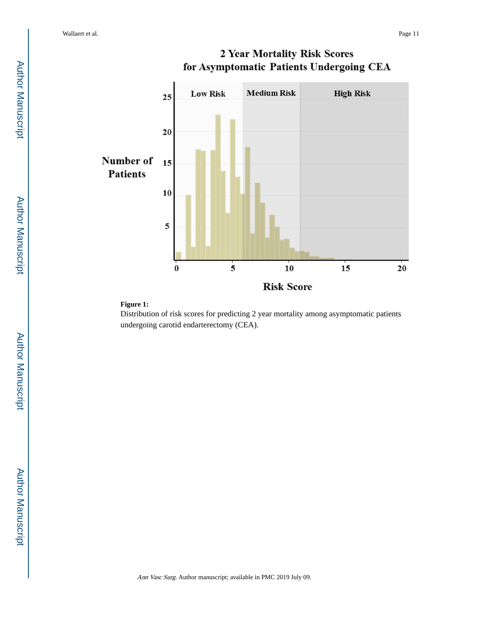Wallaert et al. Page 11



## **2 Year Mortality Risk Scores** for Asymptomatic Patients Undergoing CEA

#### **Figure 1:**

Distribution of risk scores for predicting 2 year mortality among asymptomatic patients undergoing carotid endarterectomy (CEA).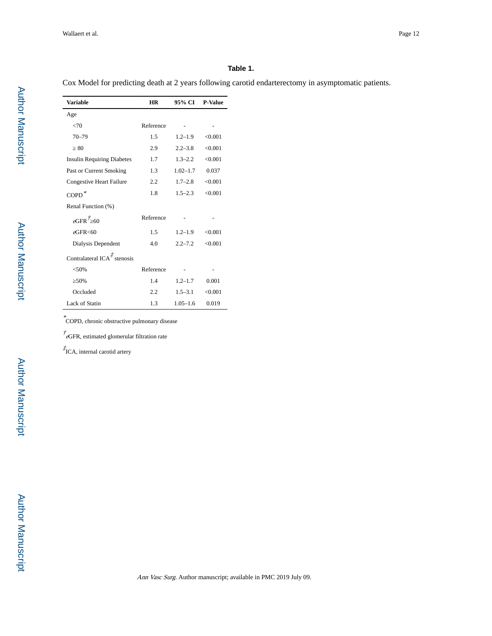#### **Table 1.**

Cox Model for predicting death at 2 years following carotid endarterectomy in asymptomatic patients.

| <b>Variable</b>                      | <b>HR</b> | 95% CI       | <b>P-Value</b> |
|--------------------------------------|-----------|--------------|----------------|
| Age                                  |           |              |                |
| <70                                  | Reference |              |                |
| $70 - 79$                            | 1.5       | $1.2 - 1.9$  | < 0.001        |
| 80                                   | 2.9       | $2.2 - 3.8$  | < 0.001        |
| <b>Insulin Requiring Diabetes</b>    | 1.7       | $1.3 - 2.2$  | < 0.001        |
| Past or Current Smoking              | 1.3       | $1.02 - 1.7$ | 0.037          |
| Congestive Heart Failure             | 2.2       | $1.7 - 2.8$  | < 0.001        |
| $COPD^*$                             | 1.8       | $1.5 - 2.3$  | < 0.001        |
| Renal Function (%)                   |           |              |                |
| $eGFR$ <sup>†</sup> 60               | Reference |              |                |
| $e$ GFR<60                           | 1.5       | $1.2 - 1.9$  | < 0.001        |
| Dialysis Dependent                   | 4.0       | $2.2 - 7.2$  | < 0.001        |
| Contralateral ICA $\vec{t}$ stenosis |           |              |                |
| $<$ 50%                              | Reference |              |                |
| 50%                                  | 1.4       | $1.2 - 1.7$  | 0.001          |
| Occluded                             | 2.2       | $1.5 - 3.1$  | < 0.001        |
| Lack of Statin                       | 1.3       | $1.05 - 1.6$ | 0.019          |

\* COPD, chronic obstructive pulmonary disease

 $\phi^{\dagger}$ eGFR, estimated glomerular filtration rate

‡ ICA, internal carotid artery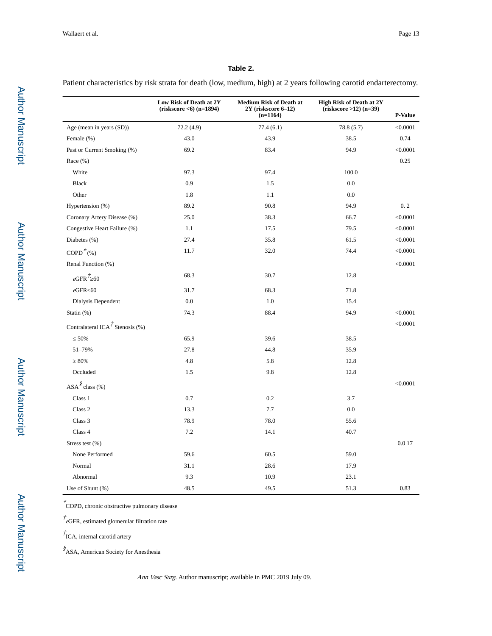#### **Table 2.**

Patient characteristics by risk strata for death (low, medium, high) at 2 years following carotid endarterectomy.

|                                                                     | Low Risk of Death at 2Y<br>$(riskscore < 6)$ $(n=1894)$ | <b>Medium Risk of Death at</b><br>2Y (riskscore 6-12)<br>$(n=1164)$ | <b>High Risk of Death at 2Y</b><br>$(riskscore > 12) (n=39)$ | <b>P-Value</b> |
|---------------------------------------------------------------------|---------------------------------------------------------|---------------------------------------------------------------------|--------------------------------------------------------------|----------------|
| Age (mean in years (SD))                                            | 72.2(4.9)                                               | 77.4(6.1)                                                           | 78.8(5.7)                                                    | < 0.0001       |
| Female (%)                                                          | 43.0                                                    | 43.9                                                                | 38.5                                                         | 0.74           |
| Past or Current Smoking (%)                                         | 69.2                                                    | 83.4                                                                | 94.9                                                         | < 0.0001       |
| Race $(\% )$                                                        |                                                         |                                                                     |                                                              | 0.25           |
| White                                                               | 97.3                                                    | 97.4                                                                | 100.0                                                        |                |
| <b>Black</b>                                                        | 0.9                                                     | 1.5                                                                 | 0.0                                                          |                |
| Other                                                               | 1.8                                                     | 1.1                                                                 | 0.0                                                          |                |
| Hypertension (%)                                                    | 89.2                                                    | 90.8                                                                | 94.9                                                         | 0.2            |
| Coronary Artery Disease (%)                                         | 25.0                                                    | 38.3                                                                | 66.7                                                         | < 0.0001       |
| Congestive Heart Failure (%)                                        | 1.1                                                     | 17.5                                                                | 79.5                                                         | < 0.0001       |
| Diabetes (%)                                                        | 27.4                                                    | 35.8                                                                | 61.5                                                         | < 0.0001       |
| $COPD^*(\%)$                                                        | 11.7                                                    | 32.0                                                                | 74.4                                                         | < 0.0001       |
| Renal Function (%)                                                  |                                                         |                                                                     |                                                              | < 0.0001       |
| $e$ GFR $\neq$ 60                                                   | 68.3                                                    | 30.7                                                                | 12.8                                                         |                |
| $e$ GFR<60                                                          | 31.7                                                    | 68.3                                                                | 71.8                                                         |                |
| Dialysis Dependent                                                  | $0.0\,$                                                 | 1.0                                                                 | 15.4                                                         |                |
| Statin (%)                                                          | 74.3                                                    | 88.4                                                                | 94.9                                                         | < 0.0001       |
| Contralateral ICA <sup><math>\overline{f}</math></sup> Stenosis (%) |                                                         |                                                                     |                                                              | < 0.0001       |
| 50%                                                                 | 65.9                                                    | 39.6                                                                | 38.5                                                         |                |
| 51-79%                                                              | 27.8                                                    | 44.8                                                                | 35.9                                                         |                |
| 80%                                                                 | 4.8                                                     | 5.8                                                                 | 12.8                                                         |                |
| Occluded                                                            | 1.5                                                     | 9.8                                                                 | 12.8                                                         |                |
| ASA <sup><math>\oint</math></sup> class (%)                         |                                                         |                                                                     |                                                              | < 0.0001       |
| Class 1                                                             | 0.7                                                     | 0.2                                                                 | 3.7                                                          |                |
| Class 2                                                             | 13.3                                                    | 7.7                                                                 | 0.0                                                          |                |
| Class 3                                                             | 78.9                                                    | 78.0                                                                | 55.6                                                         |                |
| Class 4                                                             | 7.2                                                     | 14.1                                                                | 40.7                                                         |                |
| Stress test (%)                                                     |                                                         |                                                                     |                                                              | 0.0 17         |
| None Performed                                                      | 59.6                                                    | 60.5                                                                | 59.0                                                         |                |
| Normal                                                              | 31.1                                                    | 28.6                                                                | 17.9                                                         |                |
| Abnormal                                                            | 9.3                                                     | 10.9                                                                | 23.1                                                         |                |
| Use of Shunt (%)                                                    | 48.5                                                    | 49.5                                                                | 51.3                                                         | 0.83           |

\* COPD, chronic obstructive pulmonary disease

 $\phi^{\dagger}$ eGFR, estimated glomerular filtration rate

‡ ICA, internal carotid artery

§ ASA, American Society for Anesthesia

Ann Vasc Surg. Author manuscript; available in PMC 2019 July 09.

Author Manuscript

Author Manuscript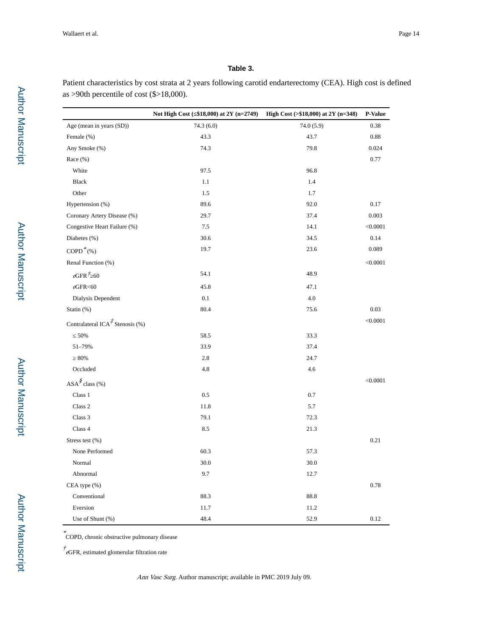#### **Table 3.**

Patient characteristics by cost strata at 2 years following carotid endarterectomy (CEA). High cost is defined as >90th percentile of cost (\$>18,000).

|                                                                           | Not High Cost (\$18,000) at 2Y (n=2749) | High Cost ( $> $18,000$ ) at 2Y (n=348) | <b>P-Value</b> |
|---------------------------------------------------------------------------|-----------------------------------------|-----------------------------------------|----------------|
| Age (mean in years (SD))                                                  | 74.3(6.0)                               | 74.0 (5.9)                              | 0.38           |
| Female (%)                                                                | 43.3                                    | 43.7                                    | $0.88\,$       |
| Any Smoke (%)                                                             | 74.3                                    | 79.8                                    | 0.024          |
| Race (%)                                                                  |                                         |                                         | 0.77           |
| White                                                                     | 97.5                                    | 96.8                                    |                |
| <b>Black</b>                                                              | 1.1                                     | 1.4                                     |                |
| Other                                                                     | 1.5                                     | 1.7                                     |                |
| Hypertension (%)                                                          | 89.6                                    | 92.0                                    | 0.17           |
| Coronary Artery Disease (%)                                               | 29.7                                    | 37.4                                    | 0.003          |
| Congestive Heart Failure (%)                                              | 7.5                                     | 14.1                                    | < 0.0001       |
| Diabetes $(\% )$                                                          | 30.6                                    | 34.5                                    | 0.14           |
| $COPD^*(\%)$                                                              | 19.7                                    | 23.6                                    | 0.089          |
| Renal Function (%)                                                        |                                         |                                         | < 0.0001       |
| $eGFR$ <sup>†</sup> 60                                                    | 54.1                                    | 48.9                                    |                |
| $e$ GFR<60                                                                | 45.8                                    | 47.1                                    |                |
| Dialysis Dependent                                                        | 0.1                                     | 4.0                                     |                |
| Statin $(\%)$                                                             | 80.4                                    | 75.6                                    | 0.03           |
| Contralateral ICA <sup><math>\overrightarrow{f}</math></sup> Stenosis (%) |                                         |                                         | < 0.0001       |
| 50%                                                                       | 58.5                                    | 33.3                                    |                |
| 51-79%                                                                    | 33.9                                    | 37.4                                    |                |
| 80%                                                                       | 2.8                                     | 24.7                                    |                |
| Occluded                                                                  | 4.8                                     | 4.6                                     |                |
| ASA <sup><math>\delta</math></sup> class (%)                              |                                         |                                         | < 0.0001       |
| Class $1\,$                                                               | 0.5                                     | 0.7                                     |                |
| Class 2                                                                   | 11.8                                    | 5.7                                     |                |
| Class 3                                                                   | 79.1                                    | 72.3                                    |                |
| Class 4                                                                   | 8.5                                     | 21.3                                    |                |
| Stress test $(\% )$                                                       |                                         |                                         | 0.21           |
| None Performed                                                            | 60.3                                    | 57.3                                    |                |
| Normal                                                                    | 30.0                                    | 30.0                                    |                |
| Abnormal                                                                  | 9.7                                     | 12.7                                    |                |
| CEA type (%)                                                              |                                         |                                         | 0.78           |
| Conventional                                                              | 88.3                                    | 88.8                                    |                |
| Eversion                                                                  | 11.7                                    | 11.2                                    |                |
| Use of Shunt (%)                                                          | 48.4                                    | 52.9                                    | 0.12           |

\* COPD, chronic obstructive pulmonary disease

 $\phi^{\dagger}$ eGFR, estimated glomerular filtration rate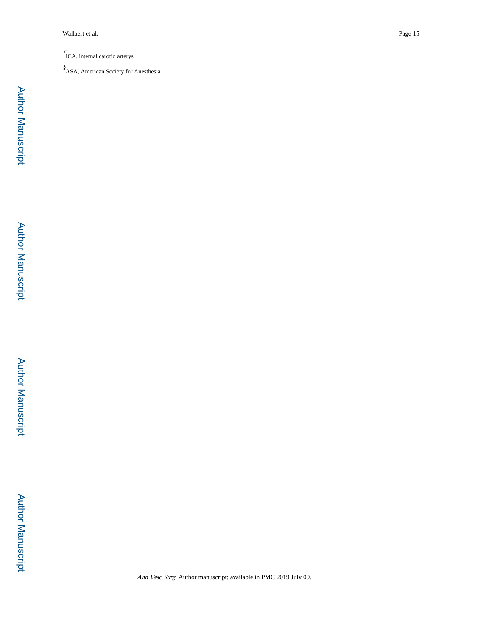Wallaert et al. Page 15

‡ ICA, internal carotid arterys

§ ASA, American Society for Anesthesia

Author Manuscript

**Author Manuscript**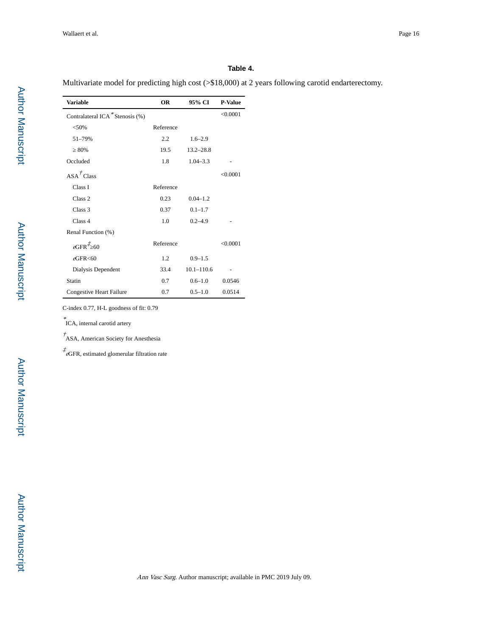#### **Table 4.**

Multivariate model for predicting high cost (>\$18,000) at 2 years following carotid endarterectomy.

| <b>Variable</b>                             | <b>OR</b> | 95% CI         | <b>P-Value</b> |
|---------------------------------------------|-----------|----------------|----------------|
| Contralateral ICA <sup>*</sup> Stenosis (%) |           |                | < 0.0001       |
| < 50%                                       | Reference |                |                |
| 51-79%                                      | 2.2       | $1.6 - 2.9$    |                |
| 80%                                         | 19.5      | $13.2 - 28.8$  |                |
| Occluded                                    | 1.8       | $1.04 - 3.3$   |                |
| $\overrightarrow{ASA}^{\dagger}$ Class      |           |                | < 0.0001       |
| Class I                                     | Reference |                |                |
| Class <sub>2</sub>                          | 0.23      | $0.04 - 1.2$   |                |
| Class 3                                     | 0.37      | $0.1 - 1.7$    |                |
| Class <sub>4</sub>                          | 1.0       | $0.2 - 4.9$    |                |
| Renal Function (%)                          |           |                |                |
| $eGFR$ <sup><math>\ddot{f}</math></sup> 60  | Reference |                | < 0.0001       |
| $e$ GFR<60                                  | 1.2       | $0.9 - 1.5$    |                |
| Dialysis Dependent                          | 33.4      | $10.1 - 110.6$ |                |
| Statin                                      | 0.7       | $0.6 - 1.0$    | 0.0546         |
| <b>Congestive Heart Failure</b>             | 0.7       | $0.5 - 1.0$    | 0.0514         |

C-index 0.77, H-L goodness of fit: 0.79

\* ICA, internal carotid artery

† ASA, American Society for Anesthesia

 $\vec{f}$ eGFR, estimated glomerular filtration rate